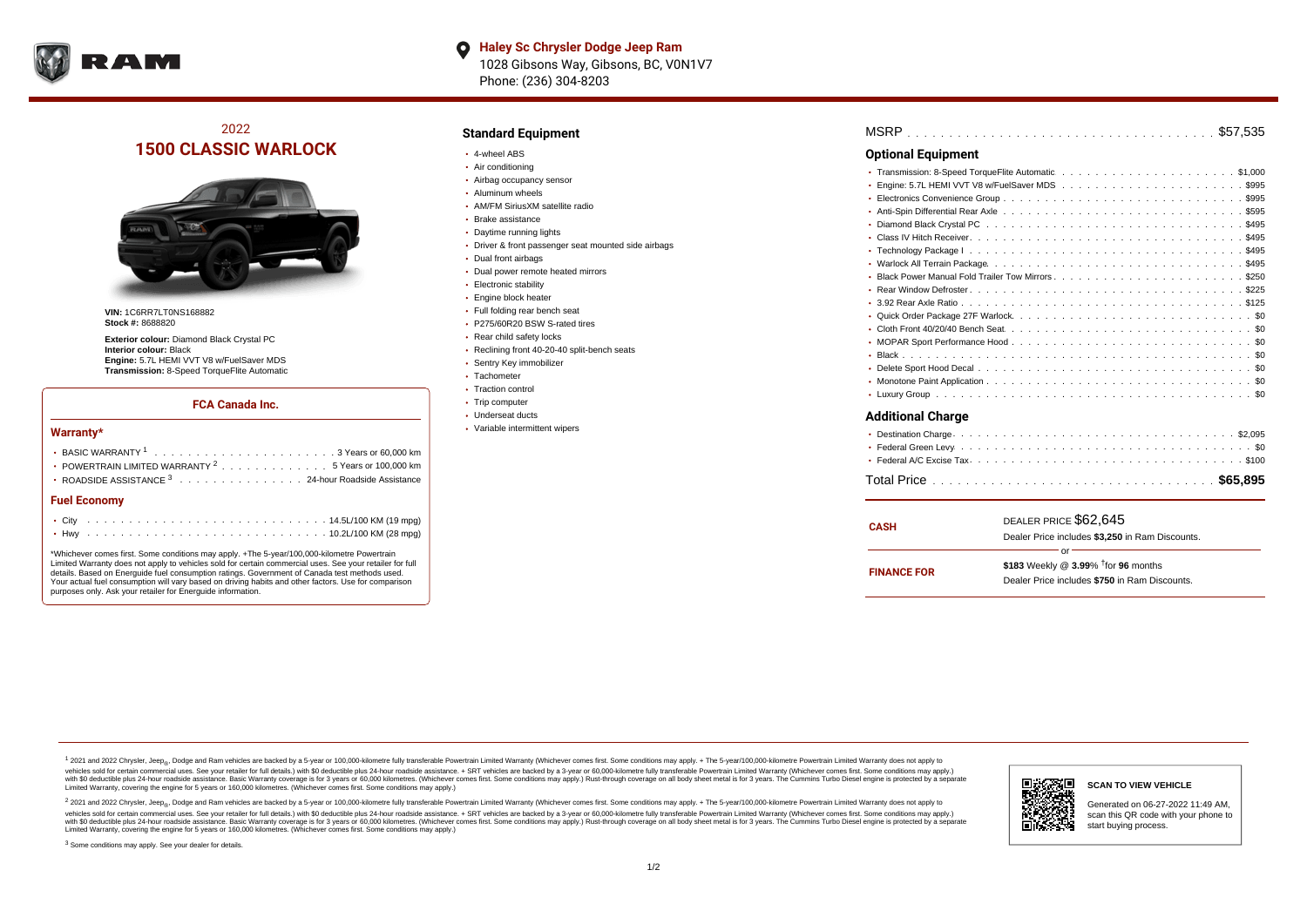

**Haley Sc Chrysler Dodge Jeep Ram**  $\bullet$ 1028 Gibsons Way, Gibsons, BC, V0N1V7 Phone: (236) 304-8203

## 2022 **1500 CLASSIC WARLOCK**



**VIN:** 1C6RR7LT0NS168882 **Stock #:** 8688820

**Exterior colour:** Diamond Black Crystal PC **Interior colour:** Black **Engine:** 5.7L HEMI VVT V8 w/FuelSaver MDS **Transmission:** 8-Speed TorqueFlite Automatic

#### **FCA Canada Inc.**

#### **Warranty\***

| POWERTRAIN LIMITED WARRANTY $2, \ldots, \ldots, \ldots, \ldots, 5$ Years or 100,000 km |  |  |  |  |  |  |
|----------------------------------------------------------------------------------------|--|--|--|--|--|--|
| • ROADSIDE ASSISTANCE 3 24-hour Roadside Assistance                                    |  |  |  |  |  |  |
| <b>Fuel Economy</b>                                                                    |  |  |  |  |  |  |
|                                                                                        |  |  |  |  |  |  |

\*Whichever comes first. Some conditions may apply. +The 5-year/100,000-kilometre Powertrain Limited Warranty does not apply to vehicles sold for certain commercial uses. See your retailer for full details. Based on Energuide fuel consumption ratings. Government of Canada test methods used. Your actual fuel consumption will vary based on driving habits and other factors. Use for comparison purposes only. Ask your retailer for Energuide information.

. . . . . . . . . . . . . . . . . . . . . . . . . . . . . . . . . . . . . . . . . . . Hwy 10.2L/100 KM (28 mpg)

#### **Standard Equipment**

- 4-wheel ABS
- Air conditioning
- Airbag occupancy sensor
- Aluminum wheels
- AM/FM SiriusXM satellite radio
- Brake assistance
- Daytime running lights
- Driver & front passenger seat mounted side airbags
- Dual front airbags
- Dual power remote heated mirrors
- **Electronic stability**
- Engine block heater
- Full folding rear bench seat
- P275/60R20 BSW S-rated tires
- Rear child safety locks
- Reclining front 40-20-40 split-bench seats
- Sentry Key immobilizer
- Tachometer
- Traction control • Trip computer
- Underseat ducts
- Variable intermittent wipers

| <b>Optional Equipment</b> |
|---------------------------|
|                           |
|                           |
|                           |
|                           |
|                           |
|                           |
|                           |
|                           |
|                           |
|                           |
|                           |
|                           |
|                           |
|                           |
|                           |
|                           |
|                           |
|                           |
| <b>Additional Charge</b>  |

| <b>CASH</b>        | DEALER PRICE \$62,645<br>Dealer Price includes \$3.250 in Ram Discounts.                                  |  |  |  |  |  |  |  |  |
|--------------------|-----------------------------------------------------------------------------------------------------------|--|--|--|--|--|--|--|--|
| <b>FINANCE FOR</b> | Ωr<br>\$183 Weekly @ $3.99\%$ <sup>†</sup> for 96 months<br>Dealer Price includes \$750 in Ram Discounts. |  |  |  |  |  |  |  |  |

<sup>1</sup> 2021 and 2022 Chrysler, Jeep<sub>®</sub>, Dodge and Ram vehicles are backed by a 5-year or 100,000-kilometre fully transferable Powertrain Limited Warranty (Whichever comes first. Some conditions may apply. + The 5-year/100,000 vehicles sold for certain commercial uses. See your retailer for full details.) with \$0 deductible plus 24 hour roadside assistance. + SRT vehicles are backed by a 3-year or 60,000-kilometre fully transferable Powertrain L versus and contract the mean of the contract of the contract with a contract with a contract the contract of the contract of the contract the contract of the contract of the contract of the contract of the contract of the Limited Warranty, covering the engine for 5 years or 160,000 kilometres. (Whichever comes first. Some conditions may apply.)

2 2021 and 2022 Chrysler, Jeep<sub>®</sub>, Dodge and Ram vehicles are backed by a 5-year or 100,000-kilometre fully transferable Powertrain Limited Warranty (Whichever comes first. Some conditions may apply. + The 5-year/100,000-k vehicles sold for certain commercial uses. See your retailer for full details.) with SO deductible plus 24-hour roadside assistance. + SRT vehicles are backed by a 3-year or 60.000-kilometre fully transferable Powertrain L with S0 deductible plus 24-hour roadside assistance. Basic Warranty coverage is for 3 years or 60,000 kilometres. (Whichever comes first. Some conditions may apply.) Rust-through coverage on all body sheet metal is for 3 y



#### **SCAN TO VIEW VEHICLE**

Generated on 06-27-2022 11:49 AM, scan this QR code with your phone to start buying process.

<sup>3</sup> Some conditions may apply. See your dealer for details.